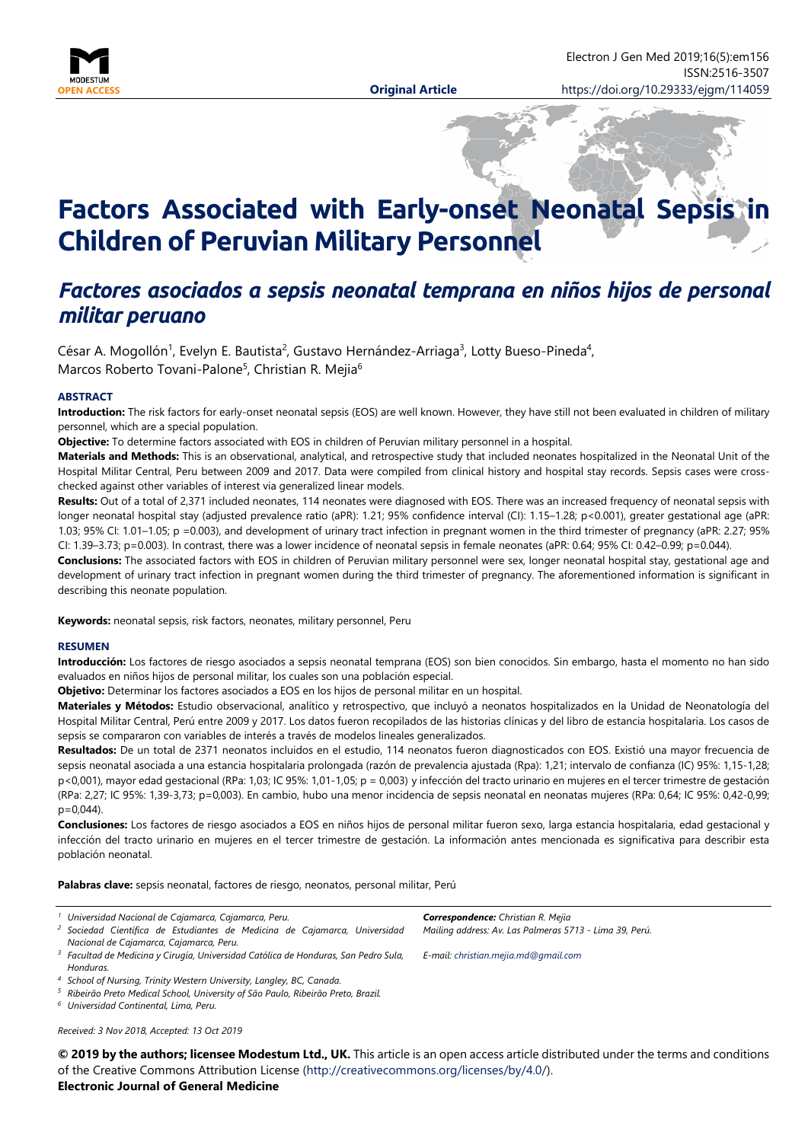

# **Factors Associated with Early-onset Neonatal Sepsis in Children of Peruvian Military Personnel**

# *Factores asociados a sepsis neonatal temprana en niños hijos de personal militar peruano*

César A. Mogollón<sup>1</sup>, Evelyn E. Bautista<sup>2</sup>, Gustavo Hernández-Arriaga<sup>3</sup>, Lotty Bueso-Pineda<sup>4</sup>, Marcos Roberto Tovani-Palone<sup>5</sup>, Christian R. Mejia<sup>6</sup>

#### **ABSTRACT**

**Introduction:** The risk factors for early-onset neonatal sepsis (EOS) are well known. However, they have still not been evaluated in children of military personnel, which are a special population.

**Objective:** To determine factors associated with EOS in children of Peruvian military personnel in a hospital.

**Materials and Methods:** This is an observational, analytical, and retrospective study that included neonates hospitalized in the Neonatal Unit of the Hospital Militar Central, Peru between 2009 and 2017. Data were compiled from clinical history and hospital stay records. Sepsis cases were crosschecked against other variables of interest via generalized linear models.

**Results:** Out of a total of 2,371 included neonates, 114 neonates were diagnosed with EOS. There was an increased frequency of neonatal sepsis with longer neonatal hospital stay (adjusted prevalence ratio (aPR): 1.21; 95% confidence interval (CI): 1.15–1.28; p<0.001), greater gestational age (aPR: 1.03; 95% CI: 1.01–1.05; p =0.003), and development of urinary tract infection in pregnant women in the third trimester of pregnancy (aPR: 2.27; 95% CI: 1.39–3.73; p=0.003). In contrast, there was a lower incidence of neonatal sepsis in female neonates (aPR: 0.64; 95% CI: 0.42–0.99; p=0.044).

**Conclusions:** The associated factors with EOS in children of Peruvian military personnel were sex, longer neonatal hospital stay, gestational age and development of urinary tract infection in pregnant women during the third trimester of pregnancy. The aforementioned information is significant in describing this neonate population.

**Keywords:** neonatal sepsis, risk factors, neonates, military personnel, Peru

#### **RESUMEN**

**Introducción:** Los factores de riesgo asociados a sepsis neonatal temprana (EOS) son bien conocidos. Sin embargo, hasta el momento no han sido evaluados en niños hijos de personal militar, los cuales son una población especial.

**Objetivo:** Determinar los factores asociados a EOS en los hijos de personal militar en un hospital.

**Materiales y Métodos:** Estudio observacional, analítico y retrospectivo, que incluyó a neonatos hospitalizados en la Unidad de Neonatología del Hospital Militar Central, Perú entre 2009 y 2017. Los datos fueron recopilados de las historias clínicas y del libro de estancia hospitalaria. Los casos de sepsis se compararon con variables de interés a través de modelos lineales generalizados.

**Resultados:** De un total de 2371 neonatos incluidos en el estudio, 114 neonatos fueron diagnosticados con EOS. Existió una mayor frecuencia de sepsis neonatal asociada a una estancia hospitalaria prolongada (razón de prevalencia ajustada (Rpa): 1,21; intervalo de confianza (IC) 95%: 1,15-1,28; p<0,001), mayor edad gestacional (RPa: 1,03; IC 95%: 1,01-1,05; p = 0,003) y infección del tracto urinario en mujeres en el tercer trimestre de gestación (RPa: 2,27; IC 95%: 1,39-3,73; p=0,003). En cambio, hubo una menor incidencia de sepsis neonatal en neonatas mujeres (RPa: 0,64; IC 95%: 0,42-0,99;  $p=0,044$ ).

**Conclusiones:** Los factores de riesgo asociados a EOS en niños hijos de personal militar fueron sexo, larga estancia hospitalaria, edad gestacional y infección del tracto urinario en mujeres en el tercer trimestre de gestación. La información antes mencionada es significativa para describir esta población neonatal.

**Palabras clave:** sepsis neonatal, factores de riesgo, neonatos, personal militar, Perú

|  | Universidad Nacional de Cajamarca, Cajamarca, Peru. |  |  |  |  |  |
|--|-----------------------------------------------------|--|--|--|--|--|
|--|-----------------------------------------------------|--|--|--|--|--|

- *<sup>2</sup> Sociedad Científica de Estudiantes de Medicina de Cajamarca, Universidad Nacional de Cajamarca, Cajamarca, Peru.*
- *<sup>3</sup> Facultad de Medicina y Cirugía, Universidad Católica de Honduras, San Pedro Sula, Honduras.*

*<sup>5</sup> Ribeirão Preto Medical School, University of São Paulo, Ribeirão Preto, Brazil.*

*<sup>6</sup> Universidad Continental, Lima, Peru.*

*Received: 3 Nov 2018, Accepted: 13 Oct 2019*

**© 2019 by the authors; licensee Modestum Ltd., UK.** This article is an open access article distributed under the terms and conditions of the Creative Commons Attribution License [\(http://creativecommons.org/licenses/by/4.0/\)](http://creativecommons.org/licenses/by/4.0/). **Electronic Journal of General Medicine**

*E-mail: [christian.mejia.md@gmail.com](mailto:christian.mejia.md@gmail.com)*

*Mailing address: Av. Las Palmeras 5713 - Lima 39, Perú.*

*Correspondence: Christian R. Mejia*

*<sup>4</sup> School of Nursing, Trinity Western University, Langley, BC, Canada.*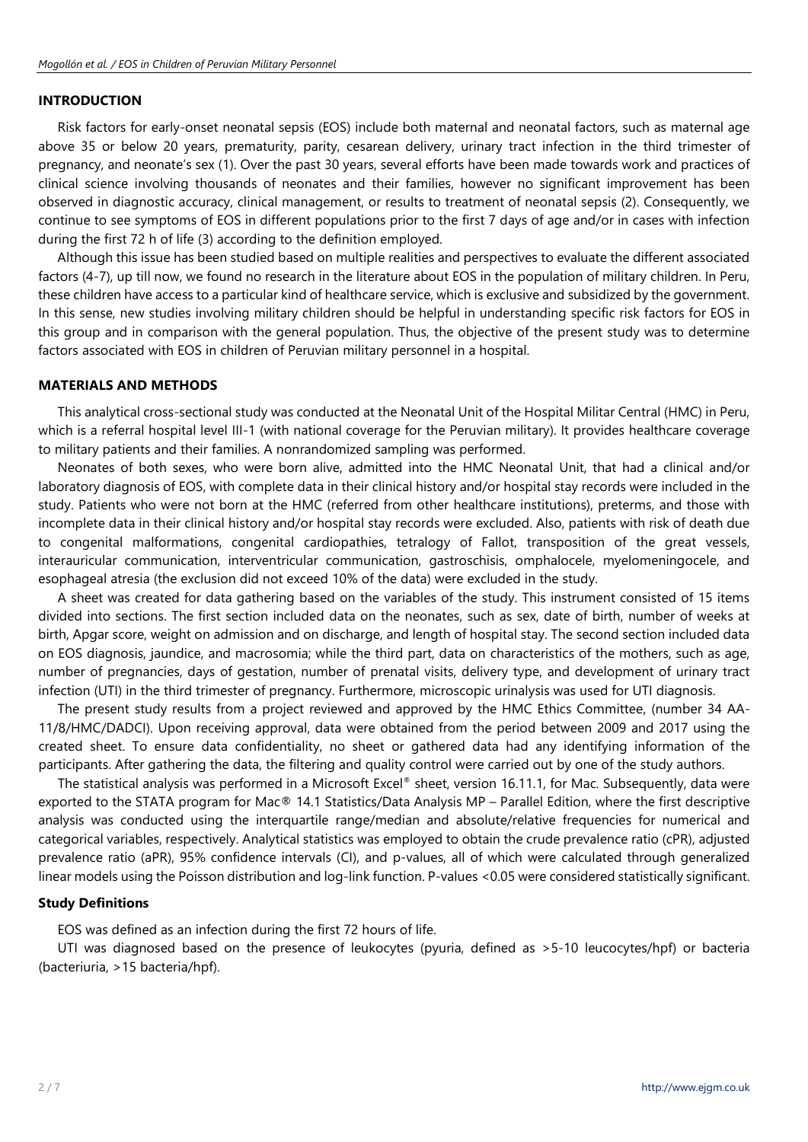# **INTRODUCTION**

Risk factors for early-onset neonatal sepsis (EOS) include both maternal and neonatal factors, such as maternal age above 35 or below 20 years, prematurity, parity, cesarean delivery, urinary tract infection in the third trimester of pregnancy, and neonate's sex (1). Over the past 30 years, several efforts have been made towards work and practices of clinical science involving thousands of neonates and their families, however no significant improvement has been observed in diagnostic accuracy, clinical management, or results to treatment of neonatal sepsis (2). Consequently, we continue to see symptoms of EOS in different populations prior to the first 7 days of age and/or in cases with infection during the first 72 h of life (3) according to the definition employed.

Although this issue has been studied based on multiple realities and perspectives to evaluate the different associated factors (4-7), up till now, we found no research in the literature about EOS in the population of military children. In Peru, these children have access to a particular kind of healthcare service, which is exclusive and subsidized by the government. In this sense, new studies involving military children should be helpful in understanding specific risk factors for EOS in this group and in comparison with the general population. Thus, the objective of the present study was to determine factors associated with EOS in children of Peruvian military personnel in a hospital.

# **MATERIALS AND METHODS**

This analytical cross-sectional study was conducted at the Neonatal Unit of the Hospital Militar Central (HMC) in Peru, which is a referral hospital level III-1 (with national coverage for the Peruvian military). It provides healthcare coverage to military patients and their families. A nonrandomized sampling was performed.

Neonates of both sexes, who were born alive, admitted into the HMC Neonatal Unit, that had a clinical and/or laboratory diagnosis of EOS, with complete data in their clinical history and/or hospital stay records were included in the study. Patients who were not born at the HMC (referred from other healthcare institutions), preterms, and those with incomplete data in their clinical history and/or hospital stay records were excluded. Also, patients with risk of death due to congenital malformations, congenital cardiopathies, tetralogy of Fallot, transposition of the great vessels, interauricular communication, interventricular communication, gastroschisis, omphalocele, myelomeningocele, and esophageal atresia (the exclusion did not exceed 10% of the data) were excluded in the study.

A sheet was created for data gathering based on the variables of the study. This instrument consisted of 15 items divided into sections. The first section included data on the neonates, such as sex, date of birth, number of weeks at birth, Apgar score, weight on admission and on discharge, and length of hospital stay. The second section included data on EOS diagnosis, jaundice, and macrosomia; while the third part, data on characteristics of the mothers, such as age, number of pregnancies, days of gestation, number of prenatal visits, delivery type, and development of urinary tract infection (UTI) in the third trimester of pregnancy. Furthermore, microscopic urinalysis was used for UTI diagnosis.

The present study results from a project reviewed and approved by the HMC Ethics Committee, (number 34 AA-11/8/HMC/DADCI). Upon receiving approval, data were obtained from the period between 2009 and 2017 using the created sheet. To ensure data confidentiality, no sheet or gathered data had any identifying information of the participants. After gathering the data, the filtering and quality control were carried out by one of the study authors.

The statistical analysis was performed in a Microsoft Excel® sheet, version 16.11.1, for Mac. Subsequently, data were exported to the STATA program for Mac® 14.1 Statistics/Data Analysis MP – Parallel Edition, where the first descriptive analysis was conducted using the interquartile range/median and absolute/relative frequencies for numerical and categorical variables, respectively. Analytical statistics was employed to obtain the crude prevalence ratio (cPR), adjusted prevalence ratio (aPR), 95% confidence intervals (CI), and p-values, all of which were calculated through generalized linear models using the Poisson distribution and log-link function. P-values <0.05 were considered statistically significant.

# **Study Definitions**

EOS was defined as an infection during the first 72 hours of life.

UTI was diagnosed based on the presence of leukocytes (pyuria, defined as >5-10 leucocytes/hpf) or bacteria (bacteriuria, >15 bacteria/hpf).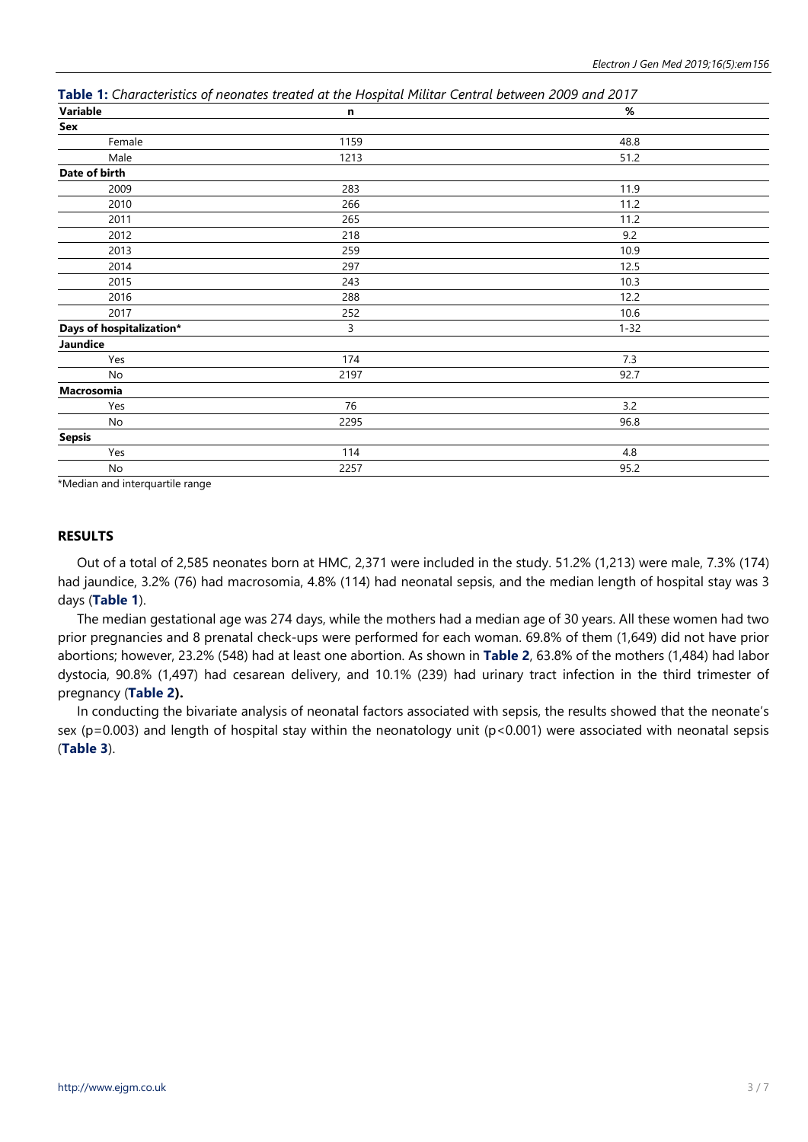| Variable                 | n    | $\%$     |
|--------------------------|------|----------|
| Sex                      |      |          |
| Female                   | 1159 | 48.8     |
| Male                     | 1213 | 51.2     |
| Date of birth            |      |          |
| 2009                     | 283  | 11.9     |
| 2010                     | 266  | 11.2     |
| 2011                     | 265  | 11.2     |
| 2012                     | 218  | 9.2      |
| 2013                     | 259  | 10.9     |
| 2014                     | 297  | 12.5     |
| 2015                     | 243  | 10.3     |
| 2016                     | 288  | 12.2     |
| 2017                     | 252  | 10.6     |
| Days of hospitalization* | 3    | $1 - 32$ |
| Jaundice                 |      |          |
| Yes                      | 174  | 7.3      |
| No                       | 2197 | 92.7     |
| Macrosomia               |      |          |
| Yes                      | 76   | 3.2      |
| No                       | 2295 | 96.8     |
| <b>Sepsis</b>            |      |          |
| Yes                      | 114  | 4.8      |
| No                       | 2257 | 95.2     |

**Table 1:** *Characteristics of neonates treated at the Hospital Militar Central between 2009 and 2017*

\*Median and interquartile range

# **RESULTS**

Out of a total of 2,585 neonates born at HMC, 2,371 were included in the study. 51.2% (1,213) were male, 7.3% (174) had jaundice, 3.2% (76) had macrosomia, 4.8% (114) had neonatal sepsis, and the median length of hospital stay was 3 days (**Table 1**).

The median gestational age was 274 days, while the mothers had a median age of 30 years. All these women had two prior pregnancies and 8 prenatal check-ups were performed for each woman. 69.8% of them (1,649) did not have prior abortions; however, 23.2% (548) had at least one abortion. As shown in **Table 2**, 63.8% of the mothers (1,484) had labor dystocia, 90.8% (1,497) had cesarean delivery, and 10.1% (239) had urinary tract infection in the third trimester of pregnancy (**Table 2).**

In conducting the bivariate analysis of neonatal factors associated with sepsis, the results showed that the neonate's sex ( $p=0.003$ ) and length of hospital stay within the neonatology unit ( $p<0.001$ ) were associated with neonatal sepsis (**Table 3**).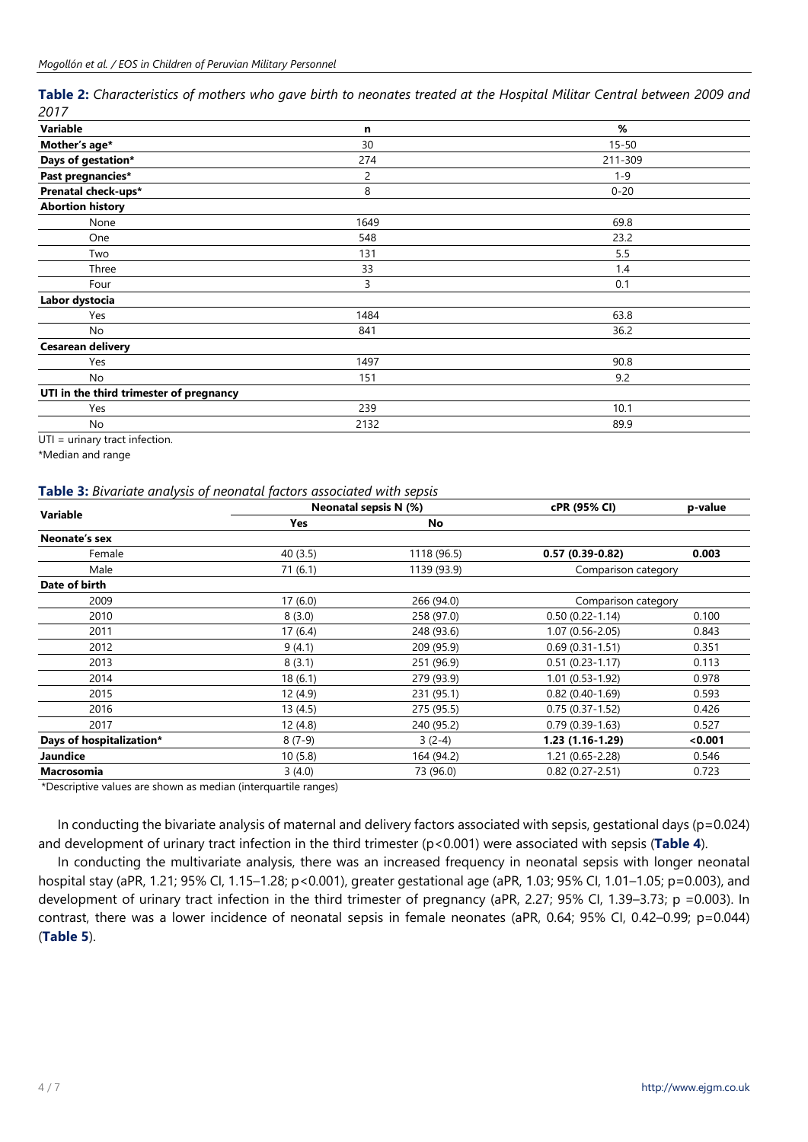Table 2: Characteristics of mothers who gave birth to neonates treated at the Hospital Militar Central between 2009 and *2017*

| Variable                                                                                                        | n    | %         |
|-----------------------------------------------------------------------------------------------------------------|------|-----------|
| Mother's age*                                                                                                   | 30   | $15 - 50$ |
| Days of gestation*                                                                                              | 274  | 211-309   |
| Past pregnancies*                                                                                               | 2    | $1 - 9$   |
| Prenatal check-ups*                                                                                             | 8    | $0 - 20$  |
| <b>Abortion history</b>                                                                                         |      |           |
| None                                                                                                            | 1649 | 69.8      |
| One                                                                                                             | 548  | 23.2      |
| Two                                                                                                             | 131  | 5.5       |
| Three                                                                                                           | 33   | 1.4       |
| Four                                                                                                            | 3    | 0.1       |
| Labor dystocia                                                                                                  |      |           |
| Yes                                                                                                             | 1484 | 63.8      |
| No                                                                                                              | 841  | 36.2      |
| <b>Cesarean delivery</b>                                                                                        |      |           |
| Yes                                                                                                             | 1497 | 90.8      |
| No                                                                                                              | 151  | 9.2       |
| UTI in the third trimester of pregnancy                                                                         |      |           |
| Yes                                                                                                             | 239  | 10.1      |
| No                                                                                                              | 2132 | 89.9      |
| the contract of the contract of the contract of the contract of the contract of the contract of the contract of |      |           |

UTI = urinary tract infection.

\*Median and range

#### **Table 3:** *Bivariate analysis of neonatal factors associated with sepsis*

| <b>Variable</b>          |          | Neonatal sepsis N (%) | cPR (95% CI)        | p-value |
|--------------------------|----------|-----------------------|---------------------|---------|
|                          | Yes      | <b>No</b>             |                     |         |
| Neonate's sex            |          |                       |                     |         |
| Female                   | 40(3.5)  | 1118 (96.5)           | $0.57(0.39-0.82)$   | 0.003   |
| Male                     | 71(6.1)  | 1139 (93.9)           | Comparison category |         |
| Date of birth            |          |                       |                     |         |
| 2009                     | 17(6.0)  | 266 (94.0)            | Comparison category |         |
| 2010                     | 8(3.0)   | 258 (97.0)            | $0.50(0.22 - 1.14)$ | 0.100   |
| 2011                     | 17(6.4)  | 248 (93.6)            | $1.07(0.56 - 2.05)$ | 0.843   |
| 2012                     | 9(4.1)   | 209 (95.9)            | $0.69(0.31-1.51)$   | 0.351   |
| 2013                     | 8(3.1)   | 251 (96.9)            | $0.51(0.23 - 1.17)$ | 0.113   |
| 2014                     | 18(6.1)  | 279 (93.9)            | $1.01(0.53 - 1.92)$ | 0.978   |
| 2015                     | 12(4.9)  | 231 (95.1)            | $0.82(0.40-1.69)$   | 0.593   |
| 2016                     | 13(4.5)  | 275 (95.5)            | $0.75(0.37 - 1.52)$ | 0.426   |
| 2017                     | 12(4.8)  | 240 (95.2)            | $0.79(0.39-1.63)$   | 0.527   |
| Days of hospitalization* | $8(7-9)$ | $3(2-4)$              | 1.23 (1.16-1.29)    | < 0.001 |
| Jaundice                 | 10(5.8)  | 164 (94.2)            | $1.21(0.65 - 2.28)$ | 0.546   |
| Macrosomia               | 3(4.0)   | 73 (96.0)             | $0.82(0.27 - 2.51)$ | 0.723   |

\*Descriptive values are shown as median (interquartile ranges)

In conducting the bivariate analysis of maternal and delivery factors associated with sepsis, gestational days (p=0.024) and development of urinary tract infection in the third trimester (p<0.001) were associated with sepsis (**Table 4**).

In conducting the multivariate analysis, there was an increased frequency in neonatal sepsis with longer neonatal hospital stay (aPR, 1.21; 95% CI, 1.15–1.28; p<0.001), greater gestational age (aPR, 1.03; 95% CI, 1.01–1.05; p=0.003), and development of urinary tract infection in the third trimester of pregnancy (aPR, 2.27; 95% CI, 1.39–3.73; p =0.003). In contrast, there was a lower incidence of neonatal sepsis in female neonates (aPR, 0.64; 95% CI, 0.42–0.99; p=0.044) (**Table 5**).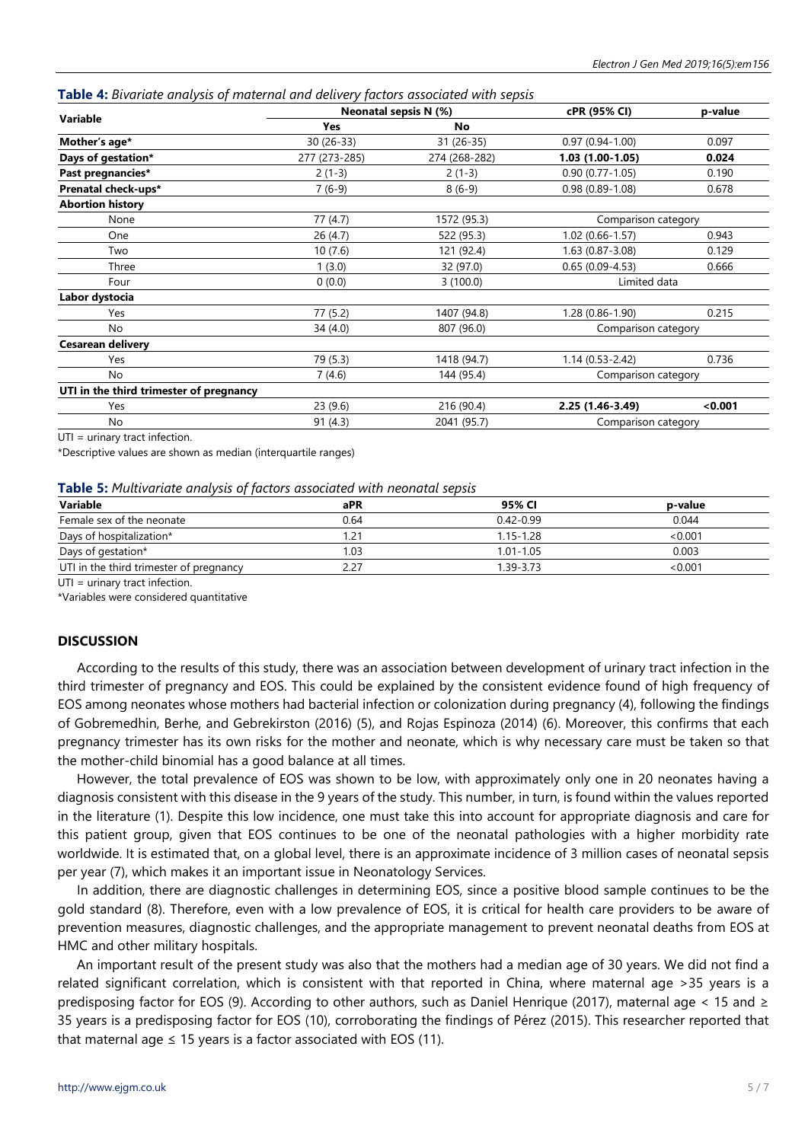| Table 4: Bivariate analysis of maternal and delivery factors associated with sepsis |  |  |  |
|-------------------------------------------------------------------------------------|--|--|--|
|-------------------------------------------------------------------------------------|--|--|--|

| Variable                                | Neonatal sepsis N (%) |               | cPR (95% CI)        | p-value |
|-----------------------------------------|-----------------------|---------------|---------------------|---------|
|                                         | <b>Yes</b>            | No            |                     |         |
| Mother's age*                           | 30 (26-33)            | 31 (26-35)    | $0.97(0.94 - 1.00)$ | 0.097   |
| Days of gestation*                      | 277 (273-285)         | 274 (268-282) | $1.03(1.00-1.05)$   | 0.024   |
| Past pregnancies*                       | $2(1-3)$              | $2(1-3)$      | $0.90(0.77 - 1.05)$ | 0.190   |
| Prenatal check-ups*                     | $7(6-9)$              | $8(6-9)$      | $0.98(0.89 - 1.08)$ | 0.678   |
| <b>Abortion history</b>                 |                       |               |                     |         |
| None                                    | 77(4.7)               | 1572 (95.3)   | Comparison category |         |
| One                                     | 26 (4.7)              | 522 (95.3)    | 1.02 (0.66-1.57)    | 0.943   |
| Two                                     | 10(7.6)               | 121 (92.4)    | 1.63 (0.87-3.08)    | 0.129   |
| Three                                   | 1(3.0)                | 32 (97.0)     | $0.65(0.09-4.53)$   | 0.666   |
| Four                                    | 0(0.0)                | 3(100.0)      | Limited data        |         |
| Labor dystocia                          |                       |               |                     |         |
| Yes                                     | 77 (5.2)              | 1407 (94.8)   | $1.28(0.86-1.90)$   | 0.215   |
| No                                      | 34(4.0)               | 807 (96.0)    | Comparison category |         |
| Cesarean delivery                       |                       |               |                     |         |
| Yes                                     | 79 (5.3)              | 1418 (94.7)   | $1.14(0.53 - 2.42)$ | 0.736   |
| No                                      | 7(4.6)                | 144 (95.4)    | Comparison category |         |
| UTI in the third trimester of pregnancy |                       |               |                     |         |
| Yes                                     | 23 (9.6)              | 216 (90.4)    | 2.25 (1.46-3.49)    | < 0.001 |
| No                                      | 91(4.3)               | 2041 (95.7)   | Comparison category |         |

UTI = urinary tract infection.

\*Descriptive values are shown as median (interquartile ranges)

#### **Table 5:** *Multivariate analysis of factors associated with neonatal sepsis*

| Variable                                | aPR                         | 95% CI        | p-value |
|-----------------------------------------|-----------------------------|---------------|---------|
| Female sex of the neonate               | 0.64                        | $0.42 - 0.99$ | 0.044   |
| Days of hospitalization*                | $\mathcal{D}^{\mathcal{A}}$ | 1.15-1.28     | < 0.001 |
| Days of gestation*                      | 1.03                        | $1.01 - 1.05$ | 0.003   |
| UTI in the third trimester of pregnancy | 2.27                        | 1.39-3.73     | < 0.001 |
|                                         |                             |               |         |

UTI = urinary tract infection.

\*Variables were considered quantitative

# **DISCUSSION**

According to the results of this study, there was an association between development of urinary tract infection in the third trimester of pregnancy and EOS. This could be explained by the consistent evidence found of high frequency of EOS among neonates whose mothers had bacterial infection or colonization during pregnancy (4), following the findings of Gobremedhin, Berhe, and Gebrekirston (2016) (5), and Rojas Espinoza (2014) (6). Moreover, this confirms that each pregnancy trimester has its own risks for the mother and neonate, which is why necessary care must be taken so that the mother-child binomial has a good balance at all times.

However, the total prevalence of EOS was shown to be low, with approximately only one in 20 neonates having a diagnosis consistent with this disease in the 9 years of the study. This number, in turn, is found within the values reported in the literature (1). Despite this low incidence, one must take this into account for appropriate diagnosis and care for this patient group, given that EOS continues to be one of the neonatal pathologies with a higher morbidity rate worldwide. It is estimated that, on a global level, there is an approximate incidence of 3 million cases of neonatal sepsis per year (7), which makes it an important issue in Neonatology Services.

In addition, there are diagnostic challenges in determining EOS, since a positive blood sample continues to be the gold standard (8). Therefore, even with a low prevalence of EOS, it is critical for health care providers to be aware of prevention measures, diagnostic challenges, and the appropriate management to prevent neonatal deaths from EOS at HMC and other military hospitals.

An important result of the present study was also that the mothers had a median age of 30 years. We did not find a related significant correlation, which is consistent with that reported in China, where maternal age >35 years is a predisposing factor for EOS (9). According to other authors, such as Daniel Henrique (2017), maternal age < 15 and  $\ge$ 35 years is a predisposing factor for EOS (10), corroborating the findings of Pérez (2015). This researcher reported that that maternal age  $\leq$  15 years is a factor associated with EOS (11).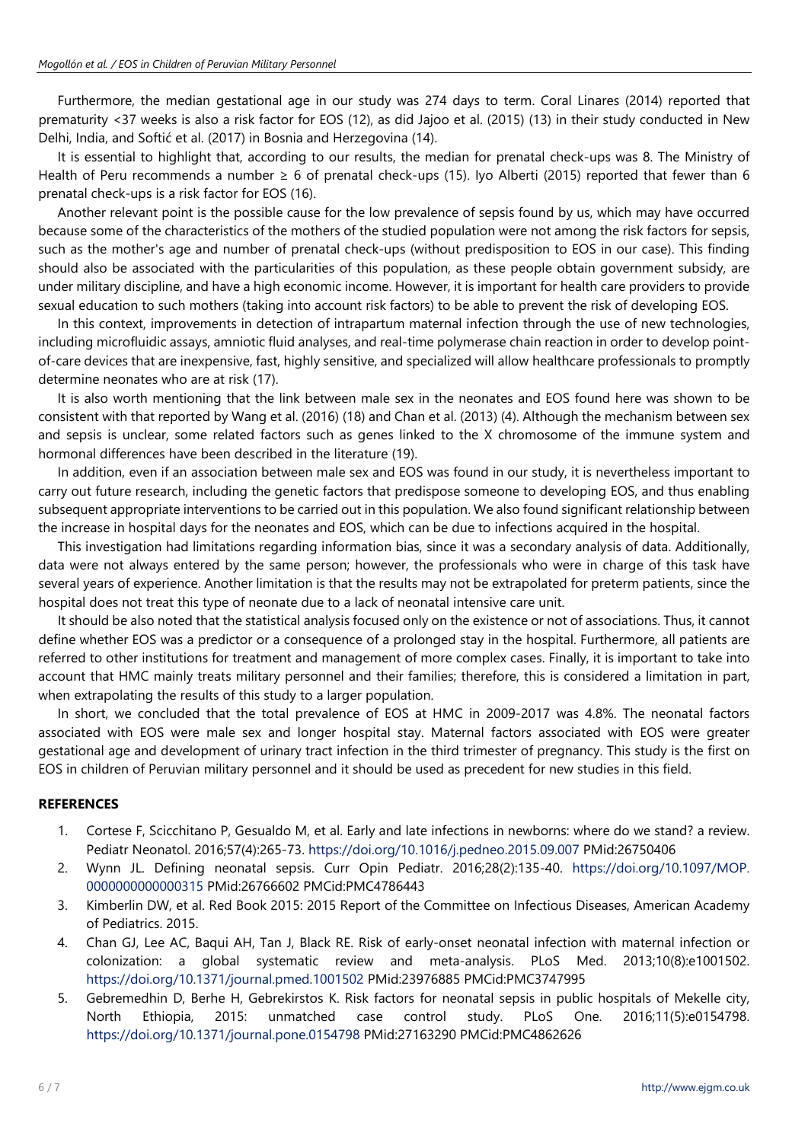Furthermore, the median gestational age in our study was 274 days to term. Coral Linares (2014) reported that prematurity <37 weeks is also a risk factor for EOS (12), as did Jajoo et al. (2015) (13) in their study conducted in New Delhi, India, and Softić et al. (2017) in Bosnia and Herzegovina (14).

It is essential to highlight that, according to our results, the median for prenatal check-ups was 8. The Ministry of Health of Peru recommends a number ≥ 6 of prenatal check-ups (15). Iyo Alberti (2015) reported that fewer than 6 prenatal check-ups is a risk factor for EOS (16).

Another relevant point is the possible cause for the low prevalence of sepsis found by us, which may have occurred because some of the characteristics of the mothers of the studied population were not among the risk factors for sepsis, such as the mother's age and number of prenatal check-ups (without predisposition to EOS in our case). This finding should also be associated with the particularities of this population, as these people obtain government subsidy, are under military discipline, and have a high economic income. However, it is important for health care providers to provide sexual education to such mothers (taking into account risk factors) to be able to prevent the risk of developing EOS.

In this context, improvements in detection of intrapartum maternal infection through the use of new technologies, including microfluidic assays, amniotic fluid analyses, and real-time polymerase chain reaction in order to develop pointof-care devices that are inexpensive, fast, highly sensitive, and specialized will allow healthcare professionals to promptly determine neonates who are at risk (17).

It is also worth mentioning that the link between male sex in the neonates and EOS found here was shown to be consistent with that reported by Wang et al. (2016) (18) and Chan et al. (2013) (4). Although the mechanism between sex and sepsis is unclear, some related factors such as genes linked to the X chromosome of the immune system and hormonal differences have been described in the literature (19).

In addition, even if an association between male sex and EOS was found in our study, it is nevertheless important to carry out future research, including the genetic factors that predispose someone to developing EOS, and thus enabling subsequent appropriate interventions to be carried out in this population. We also found significant relationship between the increase in hospital days for the neonates and EOS, which can be due to infections acquired in the hospital.

This investigation had limitations regarding information bias, since it was a secondary analysis of data. Additionally, data were not always entered by the same person; however, the professionals who were in charge of this task have several years of experience. Another limitation is that the results may not be extrapolated for preterm patients, since the hospital does not treat this type of neonate due to a lack of neonatal intensive care unit.

It should be also noted that the statistical analysis focused only on the existence or not of associations. Thus, it cannot define whether EOS was a predictor or a consequence of a prolonged stay in the hospital. Furthermore, all patients are referred to other institutions for treatment and management of more complex cases. Finally, it is important to take into account that HMC mainly treats military personnel and their families; therefore, this is considered a limitation in part, when extrapolating the results of this study to a larger population.

In short, we concluded that the total prevalence of EOS at HMC in 2009-2017 was 4.8%. The neonatal factors associated with EOS were male sex and longer hospital stay. Maternal factors associated with EOS were greater gestational age and development of urinary tract infection in the third trimester of pregnancy. This study is the first on EOS in children of Peruvian military personnel and it should be used as precedent for new studies in this field.

# **REFERENCES**

- 1. Cortese F, Scicchitano P, Gesualdo M, et al. Early and late infections in newborns: where do we stand? a review. Pediatr Neonatol. 2016;57(4):265-73. <https://doi.org/10.1016/j.pedneo.2015.09.007> PMid:26750406
- 2. Wynn JL. Defining neonatal sepsis. Curr Opin Pediatr. 2016;28(2):135-40. [https://doi.org/10.1097/MOP.](https://doi.org/10.1097/MOP.0000000000000315) [0000000000000315](https://doi.org/10.1097/MOP.0000000000000315) PMid:26766602 PMCid:PMC4786443
- 3. Kimberlin DW, et al. Red Book 2015: 2015 Report of the Committee on Infectious Diseases, American Academy of Pediatrics. 2015.
- 4. Chan GJ, Lee AC, Baqui AH, Tan J, Black RE. Risk of early-onset neonatal infection with maternal infection or colonization: a global systematic review and meta-analysis. PLoS Med. 2013;10(8):e1001502. <https://doi.org/10.1371/journal.pmed.1001502> PMid:23976885 PMCid:PMC3747995
- 5. Gebremedhin D, Berhe H, Gebrekirstos K. Risk factors for neonatal sepsis in public hospitals of Mekelle city, North Ethiopia, 2015: unmatched case control study. PLoS One. 2016;11(5):e0154798. <https://doi.org/10.1371/journal.pone.0154798> PMid:27163290 PMCid:PMC4862626